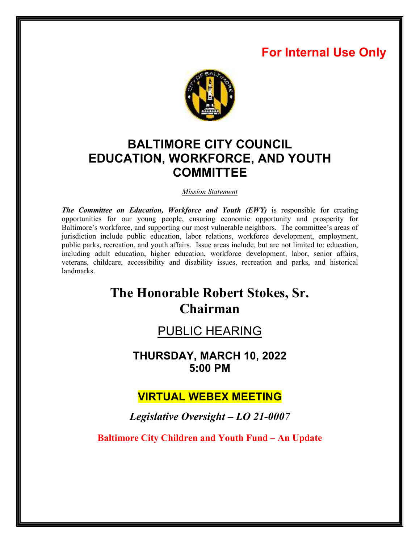# **For Internal Use Only**



# **BALTIMORE CITY COUNCIL EDUCATION, WORKFORCE, AND YOUTH COMMITTEE**

*Mission Statement* 

*The Committee on Education, Workforce and Youth (EWY)* is responsible for creating opportunities for our young people, ensuring economic opportunity and prosperity for Baltimore's workforce, and supporting our most vulnerable neighbors. The committee's areas of jurisdiction include public education, labor relations, workforce development, employment, public parks, recreation, and youth affairs. Issue areas include, but are not limited to: education, including adult education, higher education, workforce development, labor, senior affairs, veterans, childcare, accessibility and disability issues, recreation and parks, and historical landmarks.

# **The Honorable Robert Stokes, Sr. Chairman**

## PUBLIC HEARING

**THURSDAY, MARCH 10, 2022 5:00 PM** 

## **VIRTUAL WEBEX MEETING**

*Legislative Oversight – LO 21-0007* 

**Baltimore City Children and Youth Fund – An Update**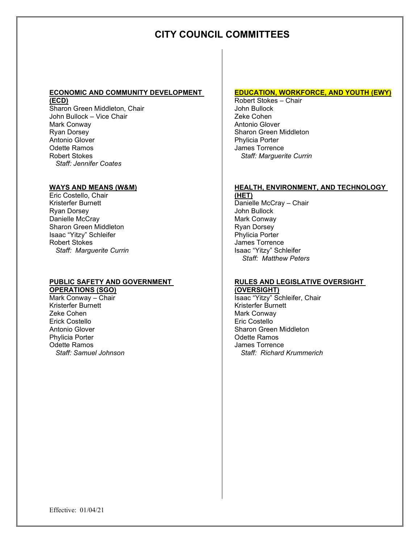## **CITY COUNCIL COMMITTEES**

#### **ECONOMIC AND COMMUNITY DEVELOPMENT (ECD)**

Sharon Green Middleton, Chair John Bullock – Vice Chair Mark Conway Ryan Dorsey Antonio Glover Odette Ramos Robert Stokes *Staff: Jennifer Coates* 

#### **WAYS AND MEANS (W&M)**

Eric Costello, Chair Kristerfer Burnett Ryan Dorsey Danielle McCray Sharon Green Middleton Isaac "Yitzy" Schleifer Robert Stokes *Staff: Marguerite Currin* 

## **PUBLIC SAFETY AND GOVERNMENT**

**OPERATIONS (SGO)**  Mark Conway – Chair Kristerfer Burnett Zeke Cohen Erick Costello Antonio Glover Phylicia Porter Odette Ramos *Staff: Samuel Johnson*

#### **EDUCATION, WORKFORCE, AND YOUTH (EWY)**

Robert Stokes – Chair John Bullock Zeke Cohen Antonio Glover Sharon Green Middleton Phylicia Porter James Torrence  *Staff: Marguerite Currin* 

#### **HEALTH, ENVIRONMENT, AND TECHNOLOGY**

**(HET)**  Danielle McCray – Chair John Bullock Mark Conway Ryan Dorsey Phylicia Porter James Torrence Isaac "Yitzy" Schleifer  *Staff: Matthew Peters* 

#### **RULES AND LEGISLATIVE OVERSIGHT (OVERSIGHT)**

Isaac "Yitzy" Schleifer, Chair Kristerfer Burnett Mark Conway Eric Costello Sharon Green Middleton Odette Ramos James Torrence *Staff: Richard Krummerich*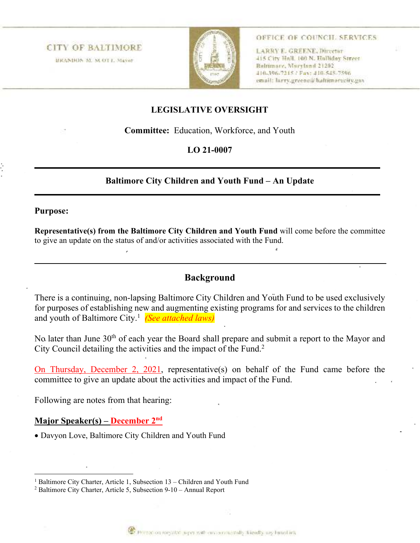**CITY OF BALTIMORE** BRANDON M. M. OT L. Mayor



OFFICE OF COUNCH. SERVICES

LARRY E. GREENE, Director 415 City Hall, 100 N. Halliday Street Baltimore, Maryland 21202 414-396-7215 / Fax: 410-545-7596 email: larry.greene@haltimorecity.gav

## **LEGISLATIVE OVERSIGHT**

**Committee:** Education, Workforce, and Youth

## **LO 21-0007**

## **Baltimore City Children and Youth Fund – An Update**

## **Purpose:**

**Representative(s) from the Baltimore City Children and Youth Fund** will come before the committee to give an update on the status of and/or activities associated with the Fund.

## **Background**

There is a continuing, non-lapsing Baltimore City Children and Youth Fund to be used exclusively for purposes of establishing new and augmenting existing programs for and services to the children and youth of Baltimore City.<sup>1</sup> *(See attached laws)*

No later than June 30<sup>th</sup> of each year the Board shall prepare and submit a report to the Mayor and City Council detailing the activities and the impact of the Fund.<sup>2</sup>

On Thursday, December 2, 2021, representative(s) on behalf of the Fund came before the committee to give an update about the activities and impact of the Fund.

Following are notes from that hearing:

## **Major Speaker(s) – December 2nd**

Davyon Love, Baltimore City Children and Youth Fund



<sup>&</sup>lt;sup>1</sup> Baltimore City Charter, Article 1, Subsection 13 – Children and Youth Fund

<sup>&</sup>lt;sup>2</sup> Baltimore City Charter, Article 5, Subsection 9-10 - Annual Report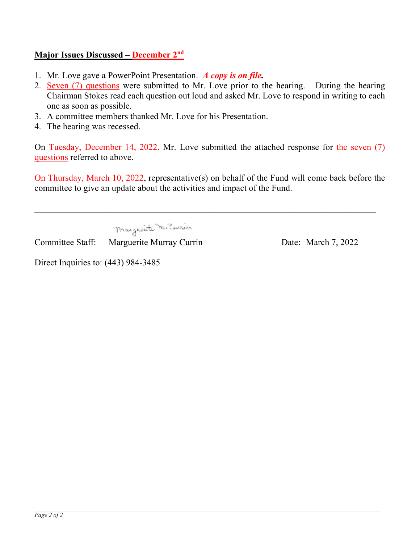## **Major Issues Discussed – December 2nd**

- 1. Mr. Love gave a PowerPoint Presentation. *A copy is on file.*
- 2. Seven (7) questions were submitted to Mr. Love prior to the hearing. During the hearing Chairman Stokes read each question out loud and asked Mr. Love to respond in writing to each one as soon as possible.
- 3. A committee members thanked Mr. Love for his Presentation.
- 4. The hearing was recessed.

On Tuesday, December 14, 2022, Mr. Love submitted the attached response for the seven (7) questions referred to above.

On Thursday, March 10, 2022, representative(s) on behalf of the Fund will come back before the committee to give an update about the activities and impact of the Fund.

**\_\_\_\_\_\_\_\_\_\_\_\_\_\_\_\_\_\_\_\_\_\_\_\_\_\_\_\_\_\_\_\_\_\_\_\_\_\_\_\_\_\_\_\_\_\_\_\_\_\_\_\_\_\_\_\_\_\_\_\_\_\_\_\_\_\_\_\_\_\_\_\_\_\_\_\_\_\_\_\_\_\_\_** 

Magazita M. Curios

Committee Staff: Marguerite Murray Currin Date: March 7, 2022

Direct Inquiries to: (443) 984-3485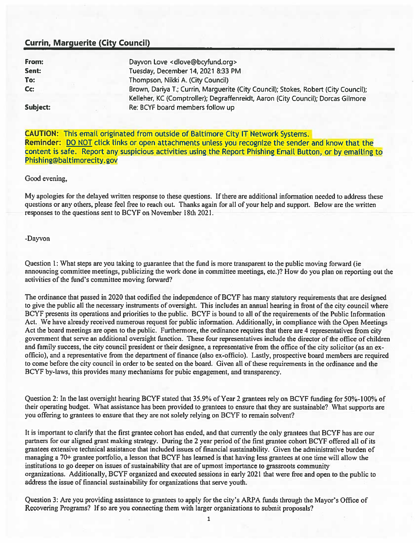## **Currin, Marquerite (City Council)**

| From:    | Dayvon Love <dlove@bcyfund.org></dlove@bcyfund.org>                                 |
|----------|-------------------------------------------------------------------------------------|
| Sent:    | Tuesday, December 14, 2021 8:33 PM                                                  |
| To:      | Thompson, Nikki A. (City Council)                                                   |
| Cc:      | Brown, Dariya T.; Currin, Marguerite (City Council); Stokes, Robert (City Council); |
|          | Kelleher, KC (Comptroller); Degraffenreidt, Aaron (City Council); Dorcas Gilmore    |
| Subject: | Re: BCYF board members follow up                                                    |

**CAUTION: This email originated from outside of Baltimore City IT Network Systems.** Reminder: DO NOT click links or open attachments unless you recognize the sender and know that the content is safe. Report any suspicious activities using the Report Phishing Email Button, or by emailing to Phishing@baltimorecity.gov

Good evening,

My apologies for the delayed written response to these questions. If there are additional information needed to address these questions or any others, please feel free to reach out. Thanks again for all of your help and support. Below are the written responses to the questions sent to BCYF on November 18th 2021.

-Dayvon

Question 1: What steps are you taking to guarantee that the fund is more transparent to the public moving forward (ie announcing committee meetings, publicizing the work done in committee meetings, etc.)? How do you plan on reporting out the activities of the fund's committee moving forward?

The ordinance that passed in 2020 that codified the independence of BCYF has many statutory requirements that are designed to give the public all the necessary instruments of oversight. This includes an annual hearing in front of the city council where BCYF presents its operations and priorities to the public. BCYF is bound to all of the requirements of the Public Information Act. We have already received numerous request for public information. Additionally, in compliance with the Open Meetings Act the board meetings are open to the public. Furthermore, the ordinance requires that there are 4 representatives from city government that serve an additional oversight function. These four representatives include the director of the office of children and family success, the city council president or their designee, a representative from the office of the city solicitor (as an exofficio), and a representative from the department of finance (also ex-officio). Lastly, prospective board members are required to come before the city council in order to be seated on the board. Given all of these requirements in the ordinance and the BCYF by-laws, this provides many mechanisms for pubic engagement, and transparency.

Question 2: In the last oversight hearing BCYF stated that 35.9% of Year 2 grantees rely on BCYF funding for 50%-100% of their operating budget. What assistance has been provided to grantees to ensure that they are sustainable? What supports are you offering to grantees to ensure that they are not solely relying on BCYF to remain solvent?

It is important to clarify that the first grantee cohort has ended, and that currently the only grantees that BCYF has are our partners for our aligned grant making strategy. During the 2 year period of the first grantee cohort BCYF offered all of its grantees extensive technical assistance that included issues of financial sustainability. Given the administrative burden of managing a 70+ grantee portfolio, a lesson that BCYF has learned is that having less grantees at one time will allow the institutions to go deeper on issues of sustainability that are of upmost importance to grassroots community organizations. Additionally, BCYF organized and executed sessions in early 2021 that were free and open to the public to address the issue of financial sustainability for organizations that serve youth.

Question 3: Are you providing assistance to grantees to apply for the city's ARPA funds through the Mayor's Office of Recovering Programs? If so are you connecting them with larger organizations to submit proposals?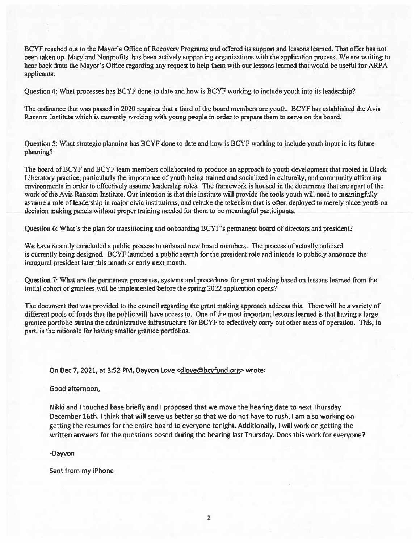BCYF reached out to the Mayor's Office of Recovery Programs and offered its support and lessons learned. That offer has not been taken up. Maryland Nonprofits has been actively supporting organizations with the application process. We are waiting to hear back from the Mayor's Office regarding any request to help them with our lessons learned that would be useful for ARPA applicants.

Question 4: What processes has BCYF done to date and how is BCYF working to include youth into its leadership?

The ordinance that was passed in 2020 requires that a third of the board members are youth. BCYF has established the Avis Ransom Institute which is currently working with young people in order to prepare them to serve on the board.

Question 5: What strategic planning has BCYF done to date and how is BCYF working to include youth input in its future planning?

The board of BCYF and BCYF team members collaborated to produce an approach to youth development that rooted in Black Liberatory practice, particularly the importance of youth being trained and socialized in culturally, and community affirming environments in order to effectively assume leadership roles. The framework is housed in the documents that are apart of the work of the Avis Ransom Institute. Our intention is that this institute will provide the tools youth will need to meaningfully assume a role of leadership in major civic institutions, and rebuke the tokenism that is often deployed to merely place youth on decision making panels without proper training needed for them to be meaningful participants.

Question 6: What's the plan for transitioning and onboarding BCYF's permanent board of directors and president?

We have recently concluded a public process to onboard new board members. The process of actually onboard is currently being designed. BCYF launched a public search for the president role and intends to publicly announce the inaugural president later this month or early next month.

Ouestion 7: What are the permanent processes, systems and procedures for grant making based on lessons learned from the initial cohort of grantees will be implemented before the spring 2022 application opens?

The document that was provided to the council regarding the grant making approach address this. There will be a variety of different pools of funds that the public will have access to. One of the most important lessons learned is that having a large grantee portfolio strains the administrative infrastructure for BCYF to effectively carry out other areas of operation. This, in part, is the rationale for having smaller grantee portfolios.

On Dec 7, 2021, at 3:52 PM, Dayvon Love < dlove@bcyfund.org> wrote:

Good afternoon,

Nikki and I touched base briefly and I proposed that we move the hearing date to next Thursday December 16th. I think that will serve us better so that we do not have to rush. I am also working on getting the resumes for the entire board to everyone tonight. Additionally, I will work on getting the written answers for the questions posed during the hearing last Thursday. Does this work for everyone?

-Dayvon

Sent from my iPhone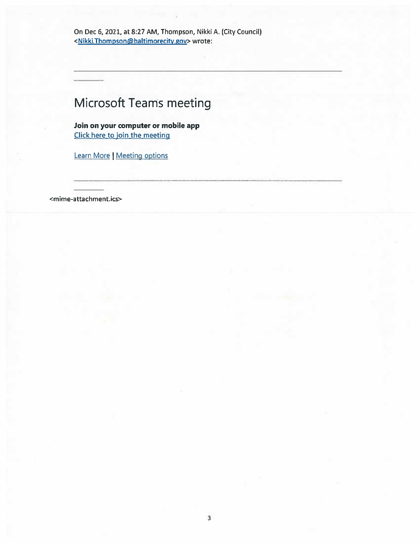On Dec 6, 2021, at 8:27 AM, Thompson, Nikki A. (City Council) <Nikki.Thompson@baltimorecity.gov> wrote:

# **Microsoft Teams meeting**

Join on your computer or mobile app Click here to join the meeting

Learn More | Meeting options

<mime-attachment.ics>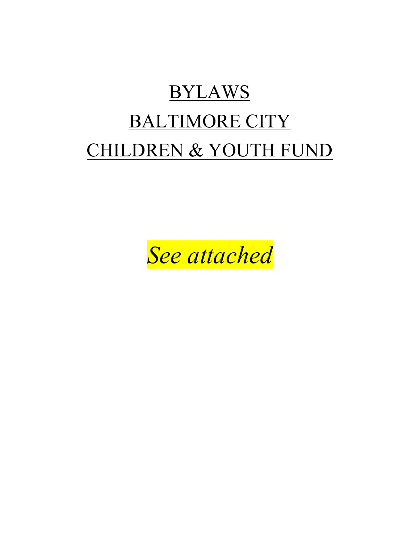# BYLAWS BALTIMORE CITY CHILDREN & YOUTH FUND

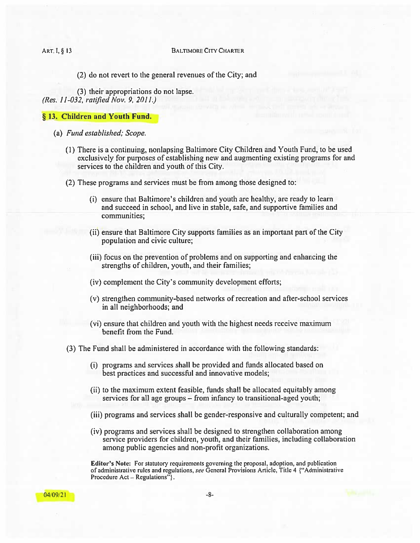**BALTIMORE CITY CHARTER** 

ART. I, § 13

(2) do not revert to the general revenues of the City; and

(3) their appropriations do not lapse. (Res. 11-032, ratified Nov. 9, 2011.)

#### § 13. Children and Youth Fund.

- (a) Fund established; Scope.
	- (1) There is a continuing, nonlapsing Baltimore City Children and Youth Fund, to be used exclusively for purposes of establishing new and augmenting existing programs for and services to the children and youth of this City.
	- (2) These programs and services must be from among those designed to:
		- (i) ensure that Baltimore's children and youth are healthy, are ready to learn and succeed in school, and live in stable, safe, and supportive families and communities:
		- (ii) ensure that Baltimore City supports families as an important part of the City population and civic culture;
		- (iii) focus on the prevention of problems and on supporting and enhancing the strengths of children, youth, and their families;
		- (iv) complement the City's community development efforts;
		- (v) strengthen community-based networks of recreation and after-school services in all neighborhoods; and
		- (vi) ensure that children and youth with the highest needs receive maximum benefit from the Fund.
	- (3) The Fund shall be administered in accordance with the following standards:
		- (i) programs and services shall be provided and funds allocated based on best practices and successful and innovative models;
		- (ii) to the maximum extent feasible, funds shall be allocated equitably among services for all age groups – from infancy to transitional-aged youth;
		- (iii) programs and services shall be gender-responsive and culturally competent; and
		- (iv) programs and services shall be designed to strengthen collaboration among service providers for children, youth, and their families, including collaboration among public agencies and non-profit organizations.

Editor's Note: For statutory requirements governing the proposal, adoption, and publication of administrative rules and regulations, see General Provisions Article, Title 4 {"Administrative Procedure Act – Regulations"}.

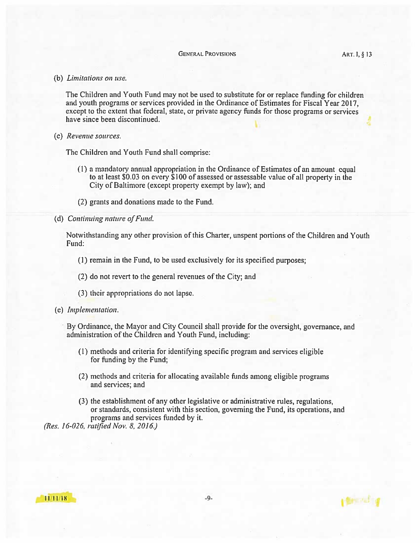#### **GENERAL PROVISIONS**

(b) Limitations on use.

The Children and Youth Fund may not be used to substitute for or replace funding for children and youth programs or services provided in the Ordinance of Estimates for Fiscal Year 2017. except to the extent that federal, state, or private agency funds for those programs or services have since been discontinued.

(c) Revenue sources.

The Children and Youth Fund shall comprise:

- (1) a mandatory annual appropriation in the Ordinance of Estimates of an amount equal to at least \$0.03 on every \$100 of assessed or assessable value of all property in the City of Baltimore (except property exempt by law); and
- (2) grants and donations made to the Fund.
- (d) Continuing nature of Fund.

Notwithstanding any other provision of this Charter, unspent portions of the Children and Youth Fund:

- (1) remain in the Fund, to be used exclusively for its specified purposes;
- (2) do not revert to the general revenues of the City; and
- (3) their appropriations do not lapse.
- (e) Implementation.

By Ordinance, the Mayor and City Council shall provide for the oversight, governance, and administration of the Children and Youth Fund, including:

- (1) methods and criteria for identifying specific program and services eligible for funding by the Fund;
- (2) methods and criteria for allocating available funds among cligible programs and services; and
- (3) the establishment of any other legislative or administrative rules, regulations, or standards, consistent with this section, governing the Fund, its operations, and programs and services funded by it.

(Res. 16-026, ratified Nov. 8, 2016.)

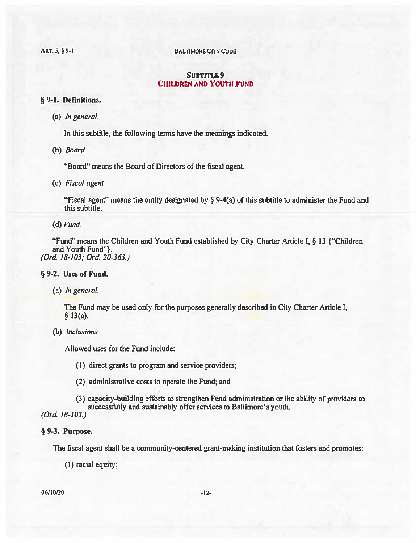**BALTIMORE CITY CODE** 

## **SUBTITLE 9 CHILDREN AND YOUTH FUND**

## § 9-1. Definitions.

ART. 5, §9-1

(a) In general.

In this subtitle, the following terms have the meanings indicated.

(b) Board.

"Board" means the Board of Directors of the fiscal agent.

(c) Fiscal agent.

"Fiscal agent" means the entity designated by  $\S$  9-4(a) of this subtitle to administer the Fund and this subtitle.

### $(d)$  Fund.

"Fund" means the Children and Youth Fund established by City Charter Article I, § 13 {"Children" and Youth Fund"}. (Ord. 18-103; Ord. 20-363.)

## § 9-2. Uses of Fund.

(a) *In general*.

The Fund may be used only for the purposes generally described in City Charter Article I,  $§$  13(a).

(b) Inclusions.

Allowed uses for the Fund include:

- (1) direct grants to program and service providers;
- (2) administrative costs to operate the Fund; and

(3) capacity-building efforts to strengthen Fund administration or the ability of providers to successfully and sustainably offer services to Baltimore's youth.

(Ord. 18-103.)

## § 9-3. Purpose.

The fiscal agent shall be a community-centered grant-making institution that fosters and promotes:

(1) racial equity;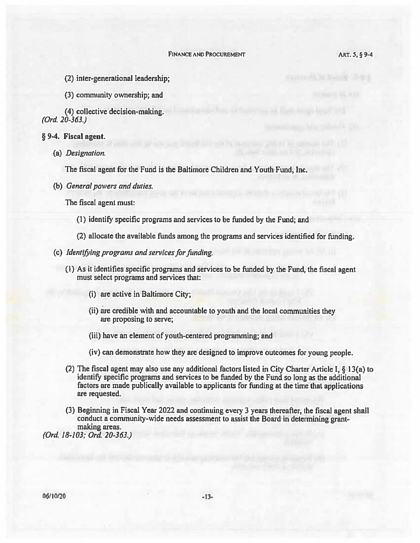the thin is a way

- (2) inter-generational leadership;
- (3) community ownership; and

(4) collective decision-making.  $(Ord. 20-363.)$ 

- § 9-4. Fiscal agent.
	- (a) Designation.

The fiscal agent for the Fund is the Baltimore Children and Youth Fund, Inc.

(b) General powers and duties.

The fiscal agent must:

- (1) identify specific programs and services to be funded by the Fund; and
- (2) allocate the available funds among the programs and services identified for funding.
- (c) Identifying programs and services for funding.
	- (1) As it identifies specific programs and services to be funded by the Fund, the fiscal agent must select programs and services that:
		- (i) are active in Baltimore City;
		- (ii) are credible with and accountable to youth and the local communities they are proposing to serve;
		- (iii) have an element of youth-centered programming; and
		- (iv) can demonstrate how they are designed to improve outcomes for young people.
	- (2) The fiscal agent may also use any additional factors listed in City Charter Article I, § 13(a) to identify specific programs and services to be funded by the Fund so long as the additional factors are made publically available to applicants for funding at the time that applications are requested.
	- (3) Beginning in Fiscal Year 2022 and continuing every 3 years thereafter, the fiscal agent shall conduct a community-wide needs assessment to assist the Board in determining grantmaking areas.

(Ord. 18-103; Ord. 20-363.)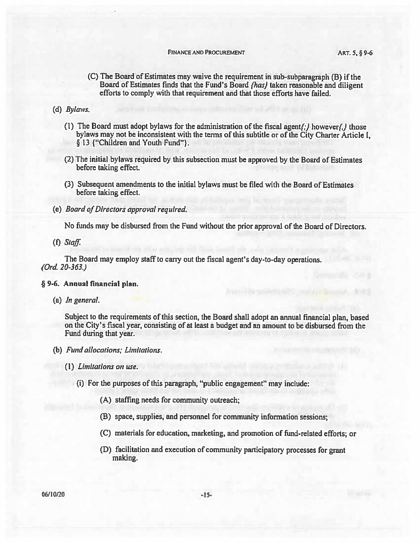#### **FINANCE AND PROCUREMENT**

- (C) The Board of Estimates may waive the requirement in sub-subparagraph (B) if the Board of Estimates finds that the Fund's Board (has) taken reasonable and diligent efforts to comply with that requirement and that those efforts have failed.
- (d) Bylaws.
	- (1) The Board must adopt bylaws for the administration of the fiscal agent $\{f_i\}$  however $\{f_i\}$  those bylaws may not be inconsistent with the terms of this subtitle or of the City Charter Article I, § 13 {"Children and Youth Fund"}.
	- (2) The initial bylaws required by this subsection must be approved by the Board of Estimates before taking effect.
	- (3) Subsequent amendments to the initial bylaws must be filed with the Board of Estimates before taking effect.
- (e) Board of Directors approval required.

No funds may be disbursed from the Fund without the prior approval of the Board of Directors.

 $(f)$  Staff.

The Board may employ staff to carry out the fiscal agent's day-to-day operations.  $(Ord. 20-363.)$ 

#### § 9-6. Annual financial plan.

 $(a)$  *In general.* 

Subject to the requirements of this section, the Board shall adopt an annual financial plan, based on the City's fiscal year, consisting of at least a budget and an amount to be disbursed from the Fund during that year.

- (b) Fund allocations; Limitations.
	- (1) Limitations on use.
		- (i) For the purposes of this paragraph, "public engagement" may include:
			- (A) staffing needs for community outreach;
			- (B) space, supplies, and personnel for community information sessions;
			- (C) materials for education, marketing, and promotion of fund-related efforts; or
			- (D) facilitation and execution of community participatory processes for grant making.